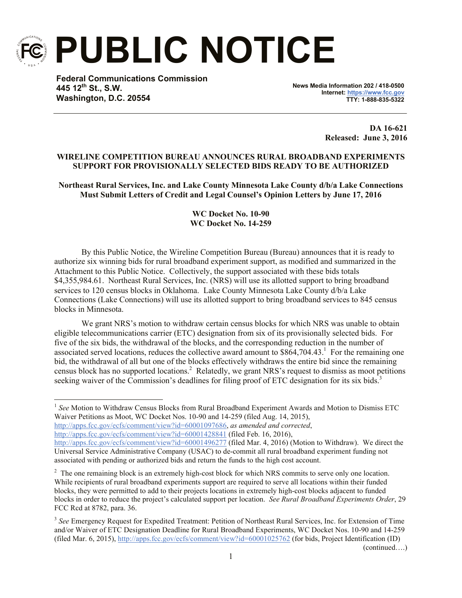

**PUBLIC NOTICE**

**Federal Communications Commission 445 12th St., S.W. Washington, D.C. 20554**

**News Media Information 202 / 418-0500 Internet: https://www.fcc.gov TTY: 1-888-835-5322**

> **DA 16-621 Released: June 3, 2016**

#### **WIRELINE COMPETITION BUREAU ANNOUNCES RURAL BROADBAND EXPERIMENTS SUPPORT FOR PROVISIONALLY SELECTED BIDS READY TO BE AUTHORIZED**

**Northeast Rural Services, Inc. and Lake County Minnesota Lake County d/b/a Lake Connections Must Submit Letters of Credit and Legal Counsel's Opinion Letters by June 17, 2016**

# **WC Docket No. 10-90 WC Docket No. 14-259**

By this Public Notice, the Wireline Competition Bureau (Bureau) announces that it is ready to authorize six winning bids for rural broadband experiment support, as modified and summarized in the Attachment to this Public Notice. Collectively, the support associated with these bids totals \$4,355,984.61. Northeast Rural Services, Inc. (NRS) will use its allotted support to bring broadband services to 120 census blocks in Oklahoma. Lake County Minnesota Lake County d/b/a Lake Connections (Lake Connections) will use its allotted support to bring broadband services to 845 census blocks in Minnesota.

We grant NRS's motion to withdraw certain census blocks for which NRS was unable to obtain eligible telecommunications carrier (ETC) designation from six of its provisionally selected bids. For five of the six bids, the withdrawal of the blocks, and the corresponding reduction in the number of associated served locations, reduces the collective award amount to  $$864,704.43$ <sup>1</sup> For the remaining one bid, the withdrawal of all but one of the blocks effectively withdraws the entire bid since the remaining census block has no supported locations.<sup>2</sup> Relatedly, we grant NRS's request to dismiss as moot petitions seeking waiver of the Commission's deadlines for filing proof of ETC designation for its six bids.<sup>3</sup>

http://apps.fcc.gov/ecfs/comment/view?id=60001428841 (filed Feb. 16, 2016),

l <sup>1</sup> See Motion to Withdraw Census Blocks from Rural Broadband Experiment Awards and Motion to Dismiss ETC Waiver Petitions as Moot, WC Docket Nos. 10-90 and 14-259 (filed Aug. 14, 2015),

http://apps.fcc.gov/ecfs/comment/view?id=60001097686, *as amended and corrected*,

http://apps.fcc.gov/ecfs/comment/view?id=60001496277 (filed Mar. 4, 2016) (Motion to Withdraw). We direct the Universal Service Administrative Company (USAC) to de-commit all rural broadband experiment funding not associated with pending or authorized bids and return the funds to the high cost account.

 $2<sup>2</sup>$  The one remaining block is an extremely high-cost block for which NRS commits to serve only one location. While recipients of rural broadband experiments support are required to serve all locations within their funded blocks, they were permitted to add to their projects locations in extremely high-cost blocks adjacent to funded blocks in order to reduce the project's calculated support per location. *See Rural Broadband Experiments Order*, 29 FCC Rcd at 8782, para. 36.

<sup>&</sup>lt;sup>3</sup> See Emergency Request for Expedited Treatment: Petition of Northeast Rural Services, Inc. for Extension of Time and/or Waiver of ETC Designation Deadline for Rural Broadband Experiments, WC Docket Nos. 10-90 and 14-259 (filed Mar. 6, 2015), http://apps.fcc.gov/ecfs/comment/view?id=60001025762 (for bids, Project Identification (ID)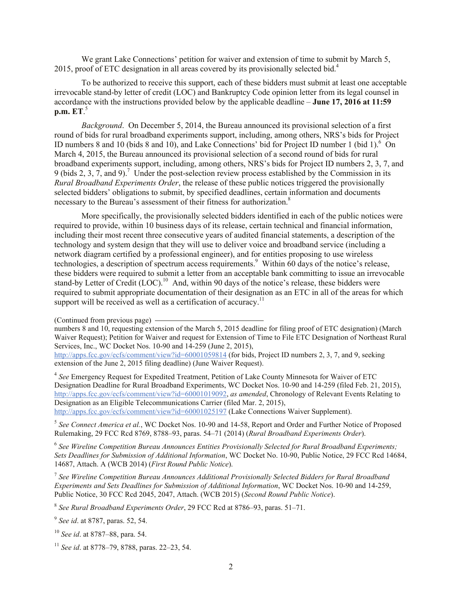We grant Lake Connections' petition for waiver and extension of time to submit by March 5, 2015, proof of ETC designation in all areas covered by its provisionally selected bid.<sup>4</sup>

To be authorized to receive this support, each of these bidders must submit at least one acceptable irrevocable stand-by letter of credit (LOC) and Bankruptcy Code opinion letter from its legal counsel in accordance with the instructions provided below by the applicable deadline – **June 17, 2016 at 11:59 p.m. ET**. 5

*Background*. On December 5, 2014, the Bureau announced its provisional selection of a first round of bids for rural broadband experiments support, including, among others, NRS's bids for Project ID numbers 8 and 10 (bids 8 and 10), and Lake Connections' bid for Project ID number 1 (bid 1). $\rm^6$  On March 4, 2015, the Bureau announced its provisional selection of a second round of bids for rural broadband experiments support, including, among others, NRS's bids for Project ID numbers 2, 3, 7, and 9 (bids 2, 3, 7, and 9).<sup>7</sup> Under the post-selection review process established by the Commission in its *Rural Broadband Experiments Order*, the release of these public notices triggered the provisionally selected bidders' obligations to submit, by specified deadlines, certain information and documents necessary to the Bureau's assessment of their fitness for authorization. 8

More specifically, the provisionally selected bidders identified in each of the public notices were required to provide, within 10 business days of its release, certain technical and financial information, including their most recent three consecutive years of audited financial statements, a description of the technology and system design that they will use to deliver voice and broadband service (including a network diagram certified by a professional engineer), and for entities proposing to use wireless technologies, a description of spectrum access requirements.<sup>9</sup> Within 60 days of the notice's release, these bidders were required to submit a letter from an acceptable bank committing to issue an irrevocable stand-by Letter of Credit (LOC).<sup>10</sup> And, within 90 days of the notice's release, these bidders were required to submit appropriate documentation of their designation as an ETC in all of the areas for which support will be received as well as a certification of accuracy.<sup>11</sup>

5 *See Connect America et al.*, WC Docket Nos. 10-90 and 14-58, Report and Order and Further Notice of Proposed Rulemaking, 29 FCC Rcd 8769, 8788–93, paras. 54–71 (2014) (*Rural Broadband Experiments Order*).

<sup>6</sup> See Wireline Competition Bureau Announces Entities Provisionally Selected for Rural Broadband Experiments; *Sets Deadlines for Submission of Additional Information*, WC Docket No. 10-90, Public Notice, 29 FCC Rcd 14684, 14687, Attach. A (WCB 2014) (*First Round Public Notice*).

7 *See Wireline Competition Bureau Announces Additional Provisionally Selected Bidders for Rural Broadband Experiments and Sets Deadlines for Submission of Additional Information*, WC Docket Nos. 10-90 and 14-259, Public Notice, 30 FCC Rcd 2045, 2047, Attach. (WCB 2015) (*Second Round Public Notice*).

8 *See Rural Broadband Experiments Order*, 29 FCC Rcd at 8786–93, paras. 51–71.

9 *See id*. at 8787, paras. 52, 54.

<sup>10</sup> *See id*. at 8787–88, para. 54.

<sup>11</sup> *See id*. at 8778–79, 8788, paras. 22–23, 54.

<sup>(</sup>Continued from previous page)

numbers 8 and 10, requesting extension of the March 5, 2015 deadline for filing proof of ETC designation) (March Waiver Request); Petition for Waiver and request for Extension of Time to File ETC Designation of Northeast Rural Services, Inc., WC Docket Nos. 10-90 and 14-259 (June 2, 2015),

http://apps.fcc.gov/ecfs/comment/view?id=60001059814 (for bids, Project ID numbers 2, 3, 7, and 9, seeking extension of the June 2, 2015 filing deadline) (June Waiver Request).

<sup>4</sup> *See* Emergency Request for Expedited Treatment, Petition of Lake County Minnesota for Waiver of ETC Designation Deadline for Rural Broadband Experiments, WC Docket Nos. 10-90 and 14-259 (filed Feb. 21, 2015), http://apps.fcc.gov/ecfs/comment/view?id=60001019092, *as amended*, Chronology of Relevant Events Relating to Designation as an Eligible Telecommunications Carrier (filed Mar. 2, 2015), http://apps.fcc.gov/ecfs/comment/view?id=60001025197 (Lake Connections Waiver Supplement).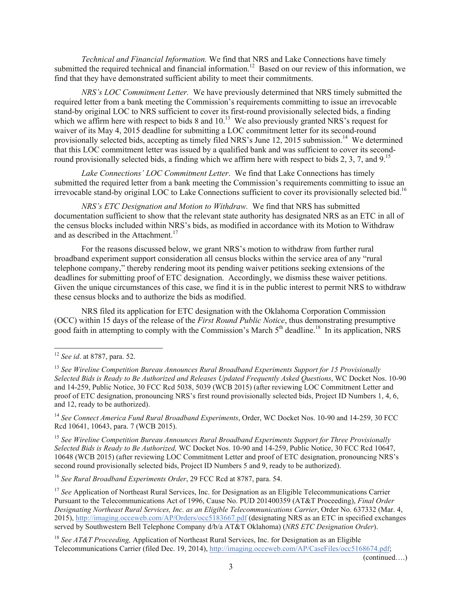*Technical and Financial Information.* We find that NRS and Lake Connections have timely submitted the required technical and financial information.<sup>12</sup> Based on our review of this information, we find that they have demonstrated sufficient ability to meet their commitments.

*NRS's LOC Commitment Letter.* We have previously determined that NRS timely submitted the required letter from a bank meeting the Commission's requirements committing to issue an irrevocable stand-by original LOC to NRS sufficient to cover its first-round provisionally selected bids, a finding which we affirm here with respect to bids 8 and  $10<sup>13</sup>$  We also previously granted NRS's request for waiver of its May 4, 2015 deadline for submitting a LOC commitment letter for its second-round provisionally selected bids, accepting as timely filed NRS's June 12, 2015 submission.<sup>14</sup> We determined that this LOC commitment letter was issued by a qualified bank and was sufficient to cover its secondround provisionally selected bids, a finding which we affirm here with respect to bids 2, 3, 7, and  $9<sup>15</sup>$ 

*Lake Connections' LOC Commitment Letter*. We find that Lake Connections has timely submitted the required letter from a bank meeting the Commission's requirements committing to issue an irrevocable stand-by original LOC to Lake Connections sufficient to cover its provisionally selected bid.<sup>16</sup>

*NRS's ETC Designation and Motion to Withdraw.* We find that NRS has submitted documentation sufficient to show that the relevant state authority has designated NRS as an ETC in all of the census blocks included within NRS's bids, as modified in accordance with its Motion to Withdraw and as described in the Attachment.<sup>17</sup>

For the reasons discussed below, we grant NRS's motion to withdraw from further rural broadband experiment support consideration all census blocks within the service area of any "rural telephone company," thereby rendering moot its pending waiver petitions seeking extensions of the deadlines for submitting proof of ETC designation. Accordingly, we dismiss these waiver petitions. Given the unique circumstances of this case, we find it is in the public interest to permit NRS to withdraw these census blocks and to authorize the bids as modified.

NRS filed its application for ETC designation with the Oklahoma Corporation Commission (OCC) within 15 days of the release of the *First Round Public Notice*, thus demonstrating presumptive good faith in attempting to comply with the Commission's March  $5<sup>th</sup>$  deadline.<sup>18</sup> In its application, NRS

l

<sup>14</sup> *See Connect America Fund Rural Broadband Experiments*, Order, WC Docket Nos. 10-90 and 14-259, 30 FCC Rcd 10641, 10643, para. 7 (WCB 2015).

<sup>15</sup> *See Wireline Competition Bureau Announces Rural Broadband Experiments Support for Three Provisionally Selected Bids is Ready to Be Authorized,* WC Docket Nos. 10-90 and 14-259, Public Notice, 30 FCC Rcd 10647, 10648 (WCB 2015) (after reviewing LOC Commitment Letter and proof of ETC designation, pronouncing NRS's second round provisionally selected bids, Project ID Numbers 5 and 9, ready to be authorized).

<sup>16</sup> *See Rural Broadband Experiments Order*, 29 FCC Rcd at 8787, para. 54.

<sup>17</sup> See Application of Northeast Rural Services, Inc. for Designation as an Eligible Telecommunications Carrier Pursuant to the Telecommunications Act of 1996, Cause No. PUD 201400359 (AT&T Proceeding), *Final Order Designating Northeast Rural Services, Inc. as an Eligible Telecommunications Carrier*, Order No. 637332 (Mar. 4, 2015), http://imaging.occeweb.com/AP/Orders/occ5183667.pdf (designating NRS as an ETC in specified exchanges served by Southwestern Bell Telephone Company d/b/a AT&T Oklahoma) (*NRS ETC Designation Order*).

<sup>18</sup> *See AT&T Proceeding,* Application of Northeast Rural Services, Inc. for Designation as an Eligible Telecommunications Carrier (filed Dec. 19, 2014), http://imaging.occeweb.com/AP/CaseFiles/occ5168674.pdf;

<sup>12</sup> *See id*. at 8787, para. 52.

<sup>13</sup> *See Wireline Competition Bureau Announces Rural Broadband Experiments Support for 15 Provisionally Selected Bids is Ready to Be Authorized and Releases Updated Frequently Asked Questions*, WC Docket Nos. 10-90 and 14-259, Public Notice, 30 FCC Rcd 5038, 5039 (WCB 2015) (after reviewing LOC Commitment Letter and proof of ETC designation, pronouncing NRS's first round provisionally selected bids, Project ID Numbers 1, 4, 6, and 12, ready to be authorized).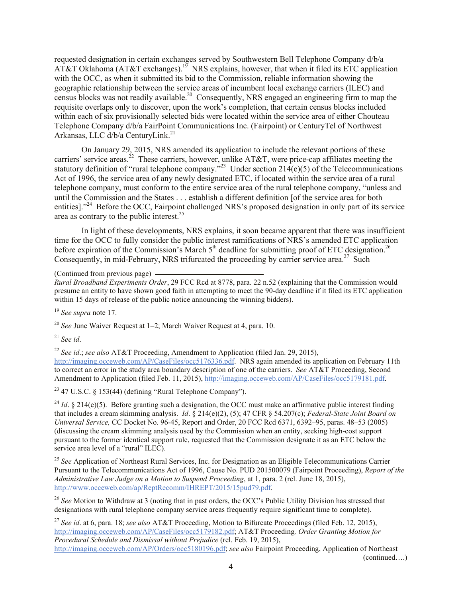requested designation in certain exchanges served by Southwestern Bell Telephone Company d/b/a  $\widehat{AT\&T}$  Oklahoma (AT&T exchanges).<sup>19</sup> NRS explains, however, that when it filed its ETC application with the OCC, as when it submitted its bid to the Commission, reliable information showing the geographic relationship between the service areas of incumbent local exchange carriers (ILEC) and census blocks was not readily available.<sup>20</sup> Consequently, NRS engaged an engineering firm to map the requisite overlaps only to discover, upon the work's completion, that certain census blocks included within each of six provisionally selected bids were located within the service area of either Chouteau Telephone Company d/b/a FairPoint Communications Inc. (Fairpoint) or CenturyTel of Northwest Arkansas, LLC d/b/a CenturyLink.<sup>21</sup>

On January 29, 2015, NRS amended its application to include the relevant portions of these carriers' service areas.<sup>22</sup> These carriers, however, unlike AT&T, were price-cap affiliates meeting the statutory definition of "rural telephone company."<sup>23</sup> Under section  $214(e)(5)$  of the Telecommunications Act of 1996, the service area of any newly designated ETC, if located within the service area of a rural telephone company, must conform to the entire service area of the rural telephone company, "unless and until the Commission and the States . . . establish a different definition [of the service area for both entities]."<sup>24</sup> Before the OCC, Fairpoint challenged NRS's proposed designation in only part of its service area as contrary to the public interest.<sup>25</sup>

In light of these developments, NRS explains, it soon became apparent that there was insufficient time for the OCC to fully consider the public interest ramifications of NRS's amended ETC application before expiration of the Commission's March  $5<sup>th</sup>$  deadline for submitting proof of ETC designation.<sup>26</sup> Consequently, in mid-February, NRS trifurcated the proceeding by carrier service area.<sup>27</sup> Such

(Continued from previous page)

*Rural Broadband Experiments Order*, 29 FCC Rcd at 8778, para. 22 n.52 (explaining that the Commission would presume an entity to have shown good faith in attempting to meet the 90-day deadline if it filed its ETC application within 15 days of release of the public notice announcing the winning bidders).

<sup>19</sup> *See supra* note 17.

<sup>20</sup> *See* June Waiver Request at 1–2; March Waiver Request at 4, para. 10.

<sup>21</sup> *See id*.

<sup>22</sup> *See id*.; *see also* AT&T Proceeding, Amendment to Application (filed Jan. 29, 2015),

http://imaging.occeweb.com/AP/CaseFiles/occ5176336.pdf. NRS again amended its application on February 11th to correct an error in the study area boundary description of one of the carriers. *See* AT&T Proceeding, Second Amendment to Application (filed Feb. 11, 2015), http://imaging.occeweb.com/AP/CaseFiles/occ5179181.pdf.

 $23$  47 U.S.C. § 153(44) (defining "Rural Telephone Company").

<sup>24</sup> *Id.* § 214(e)(5). Before granting such a designation, the OCC must make an affirmative public interest finding that includes a cream skimming analysis. *Id*. § 214(e)(2), (5); 47 CFR § 54.207(c); *Federal-State Joint Board on Universal Service,* CC Docket No. 96-45, Report and Order, 20 FCC Rcd 6371, 6392–95, paras. 48–53 (2005) (discussing the cream skimming analysis used by the Commission when an entity, seeking high-cost support pursuant to the former identical support rule, requested that the Commission designate it as an ETC below the service area level of a "rural" ILEC).

<sup>25</sup> See Application of Northeast Rural Services, Inc. for Designation as an Eligible Telecommunications Carrier Pursuant to the Telecommunications Act of 1996, Cause No. PUD 201500079 (Fairpoint Proceeding), *Report of the Administrative Law Judge on a Motion to Suspend Proceeding*, at 1, para. 2 (rel. June 18, 2015), http://www.occeweb.com/ap/ReptRecomm/IHREPT/2015/15pud79.pdf.

<sup>26</sup> See Motion to Withdraw at 3 (noting that in past orders, the OCC's Public Utility Division has stressed that designations with rural telephone company service areas frequently require significant time to complete).

<sup>27</sup> *See id*. at 6, para. 18; *see also* AT&T Proceeding, Motion to Bifurcate Proceedings (filed Feb. 12, 2015), http://imaging.occeweb.com/AP/CaseFiles/occ5179182.pdf; AT&T Proceeding*, Order Granting Motion for Procedural Schedule and Dismissal without Prejudice* (rel. Feb. 19, 2015), http://imaging.occeweb.com/AP/Orders/occ5180196.pdf; *see also* Fairpoint Proceeding, Application of Northeast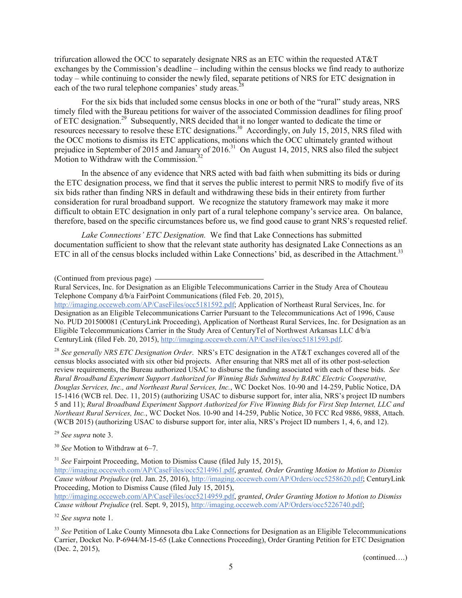trifurcation allowed the OCC to separately designate NRS as an ETC within the requested AT&T exchanges by the Commission's deadline – including within the census blocks we find ready to authorize today – while continuing to consider the newly filed, separate petitions of NRS for ETC designation in each of the two rural telephone companies' study areas.<sup>2</sup>

For the six bids that included some census blocks in one or both of the "rural" study areas, NRS timely filed with the Bureau petitions for waiver of the associated Commission deadlines for filing proof of ETC designation.<sup>29</sup> Subsequently, NRS decided that it no longer wanted to dedicate the time or resources necessary to resolve these ETC designations.<sup>30</sup> Accordingly, on July 15, 2015, NRS filed with the OCC motions to dismiss its ETC applications, motions which the OCC ultimately granted without prejudice in September of 2015 and January of 2016.<sup>31</sup> On August 14, 2015, NRS also filed the subject Motion to Withdraw with the Commission. $32$ 

In the absence of any evidence that NRS acted with bad faith when submitting its bids or during the ETC designation process, we find that it serves the public interest to permit NRS to modify five of its six bids rather than finding NRS in default and withdrawing these bids in their entirety from further consideration for rural broadband support. We recognize the statutory framework may make it more difficult to obtain ETC designation in only part of a rural telephone company's service area. On balance, therefore, based on the specific circumstances before us, we find good cause to grant NRS's requested relief.

*Lake Connections' ETC Designation.* We find that Lake Connections has submitted documentation sufficient to show that the relevant state authority has designated Lake Connections as an ETC in all of the census blocks included within Lake Connections' bid, as described in the Attachment.<sup>33</sup>

(Continued from previous page)

<sup>28</sup> *See generally NRS ETC Designation Order*. NRS's ETC designation in the AT&T exchanges covered all of the census blocks associated with six other bid projects. After ensuring that NRS met all of its other post-selection review requirements, the Bureau authorized USAC to disburse the funding associated with each of these bids. *See Rural Broadband Experiment Support Authorized for Winning Bids Submitted by BARC Electric Cooperative, Douglas Services, Inc., and Northeast Rural Services, Inc.*, WC Docket Nos. 10-90 and 14-259, Public Notice, DA 15-1416 (WCB rel. Dec. 11, 2015) (authorizing USAC to disburse support for, inter alia, NRS's project ID numbers 5 and 11); *Rural Broadband Experiment Support Authorized for Five Winning Bids for First Step Internet, LLC and Northeast Rural Services, Inc.*, WC Docket Nos. 10-90 and 14-259, Public Notice, 30 FCC Rcd 9886, 9888, Attach. (WCB 2015) (authorizing USAC to disburse support for, inter alia, NRS's Project ID numbers 1, 4, 6, and 12).

<sup>29</sup> *See supra* note 3.

<sup>30</sup> *See* Motion to Withdraw at 6–7.

<sup>31</sup> *See* Fairpoint Proceeding, Motion to Dismiss Cause (filed July 15, 2015),

http://imaging.occeweb.com/AP/CaseFiles/occ5214961.pdf, *granted, Order Granting Motion to Motion to Dismiss Cause without Prejudice* (rel. Jan. 25, 2016), http://imaging.occeweb.com/AP/Orders/occ5258620.pdf; CenturyLink Proceeding, Motion to Dismiss Cause (filed July 15, 2015),

http://imaging.occeweb.com/AP/CaseFiles/occ5214959.pdf, *granted*, *Order Granting Motion to Motion to Dismiss Cause without Prejudice* (rel. Sept. 9, 2015), http://imaging.occeweb.com/AP/Orders/occ5226740.pdf;

<sup>33</sup> See Petition of Lake County Minnesota dba Lake Connections for Designation as an Eligible Telecommunications Carrier, Docket No. P-6944/M-15-65 (Lake Connections Proceeding), Order Granting Petition for ETC Designation (Dec. 2, 2015),

Rural Services, Inc. for Designation as an Eligible Telecommunications Carrier in the Study Area of Chouteau Telephone Company d/b/a FairPoint Communications (filed Feb. 20, 2015),

http://imaging.occeweb.com/AP/CaseFiles/occ5181592.pdf; Application of Northeast Rural Services, Inc. for Designation as an Eligible Telecommunications Carrier Pursuant to the Telecommunications Act of 1996, Cause No. PUD 201500081 (CenturyLink Proceeding), Application of Northeast Rural Services, Inc. for Designation as an Eligible Telecommunications Carrier in the Study Area of CenturyTel of Northwest Arkansas LLC d/b/a CenturyLink (filed Feb. 20, 2015), http://imaging.occeweb.com/AP/CaseFiles/occ5181593.pdf.

<sup>32</sup> *See supra* note 1.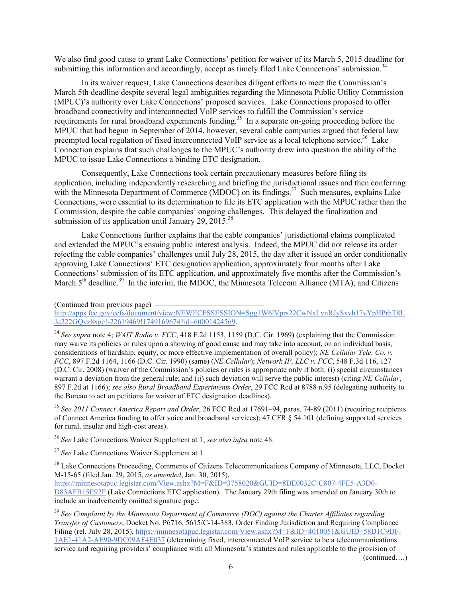We also find good cause to grant Lake Connections' petition for waiver of its March 5, 2015 deadline for submitting this information and accordingly, accept as timely filed Lake Connections' submission.<sup>34</sup>

In its waiver request, Lake Connections describes diligent efforts to meet the Commission's March 5th deadline despite several legal ambiguities regarding the Minnesota Public Utility Commission (MPUC)'s authority over Lake Connections' proposed services. Lake Connections proposed to offer broadband connectivity and interconnected VoIP services to fulfill the Commission's service requirements for rural broadband experiments funding.<sup>35</sup> In a separate on-going proceeding before the MPUC that had begun in September of 2014, however, several cable companies argued that federal law preempted local regulation of fixed interconnected VoIP service as a local telephone service.<sup>36</sup> Lake Connection explains that such challenges to the MPUC's authority drew into question the ability of the MPUC to issue Lake Connections a binding ETC designation.

Consequently, Lake Connections took certain precautionary measures before filing its application, including independently researching and briefing the jurisdictional issues and then conferring with the Minnesota Department of Commerce (MDOC) on its findings.<sup>37</sup> Such measures, explains Lake Connections, were essential to its determination to file its ETC application with the MPUC rather than the Commission, despite the cable companies' ongoing challenges. This delayed the finalization and submission of its application until January  $29$ ,  $2015.^{38}$ 

Lake Connections further explains that the cable companies' jurisdictional claims complicated and extended the MPUC's ensuing public interest analysis. Indeed, the MPUC did not release its order rejecting the cable companies' challenges until July 28, 2015, the day after it issued an order conditionally approving Lake Connections' ETC designation application, approximately four months after Lake Connections' submission of its ETC application, and approximately five months after the Commission's March  $5<sup>th</sup>$  deadline.<sup>39</sup> In the interim, the MDOC, the Minnesota Telecom Alliance (MTA), and Citizens

(Continued from previous page)

http://apps.fcc.gov/ecfs/document/view;NEWECFSSESSION=Sgg1W6lVprs22CwNxLvnRJySxvh17vYpHPrhT8L Jq222GQyz8xgc!-22619469!1749169674?id=60001424569.

<sup>34</sup> *See supra* note 4; *WAIT Radio v. FCC*, 418 F.2d 1153, 1159 (D.C. Cir. 1969) (explaining that the Commission may waive its policies or rules upon a showing of good cause and may take into account, on an individual basis, considerations of hardship, equity, or more effective implementation of overall policy); *NE Cellular Tele. Co. v. FCC*, 897 F.2d 1164, 1166 (D.C. Cir. 1990) (same) (*NE Cellular*); *Network IP, LLC v. FCC*, 548 F.3d 116, 127 (D.C. Cir. 2008) (waiver of the Commission's policies or rules is appropriate only if both: (i) special circumstances warrant a deviation from the general rule; and (ii) such deviation will serve the public interest) (citing *NE Cellular*, 897 F.2d at 1166); *see also Rural Broadband Experiments Order*, 29 FCC Rcd at 8788 n.95 (delegating authority to the Bureau to act on petitions for waiver of ETC designation deadlines).

<sup>35</sup> *See 2011 Connect America Report and Order*, 26 FCC Rcd at 17691–94, paras. 74-89 (2011) (requiring recipients of Connect America funding to offer voice and broadband services); 47 CFR § 54.101 (defining supported services for rural, insular and high-cost areas).

<sup>36</sup> *See* Lake Connections Waiver Supplement at 1; *see also infra* note 48.

<sup>37</sup> *See* Lake Connections Waiver Supplement at 1.

<sup>38</sup> Lake Connections Proceeding, Comments of Citizens Telecommunications Company of Minnesota, LLC, Docket M-15-65 (filed Jan. 29, 2015, *as amended*, Jan. 30, 2015), https://minnesotapuc.legistar.com/View.ashx?M=F&ID=3758020&GUID=8DE0032C-C807-4FE5-A3D0- D83AFB15E92F (Lake Connections ETC application). The January 29th filing was amended on January 30th to

include an inadvertently omitted signature page.

<sup>39</sup> *See Complaint by the Minnesota Department of Commerce (DOC) against the Charter Affiliates regarding Transfer of Customers*, Docket No. P6716, 5615/C-14-383, Order Finding Jurisdiction and Requiring Compliance Filing (rel. July 28, 2015), https://minnesotapuc.legistar.com/View.ashx?M=F&ID=4010051&GUID=58D1C9DF-1AE1-41A2-AE90-9DC09AF4E037 (determining fixed, interconnected VoIP service to be a telecommunications service and requiring providers' compliance with all Minnesota's statutes and rules applicable to the provision of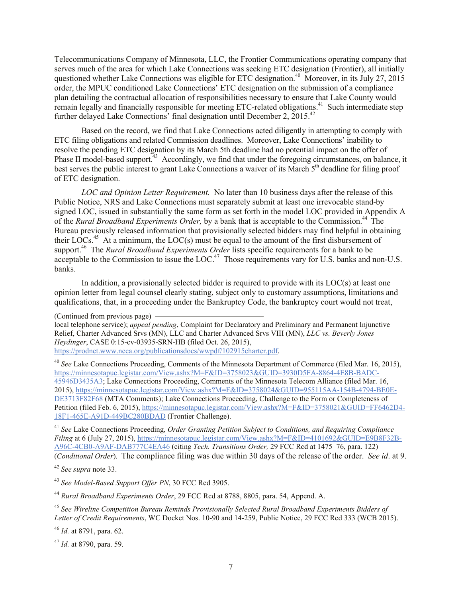Telecommunications Company of Minnesota, LLC, the Frontier Communications operating company that serves much of the area for which Lake Connections was seeking ETC designation (Frontier), all initially questioned whether Lake Connections was eligible for ETC designation.<sup>40</sup> Moreover, in its July 27, 2015 order, the MPUC conditioned Lake Connections' ETC designation on the submission of a compliance plan detailing the contractual allocation of responsibilities necessary to ensure that Lake County would remain legally and financially responsible for meeting ETC-related obligations.<sup>41</sup> Such intermediate step further delayed Lake Connections' final designation until December 2, 2015.<sup>42</sup>

Based on the record, we find that Lake Connections acted diligently in attempting to comply with ETC filing obligations and related Commission deadlines. Moreover, Lake Connections' inability to resolve the pending ETC designation by its March 5th deadline had no potential impact on the offer of Phase II model-based support.<sup>43</sup> Accordingly, we find that under the foregoing circumstances, on balance, it best serves the public interest to grant Lake Connections a waiver of its March 5<sup>th</sup> deadline for filing proof of ETC designation.

*LOC and Opinion Letter Requirement.* No later than 10 business days after the release of this Public Notice, NRS and Lake Connections must separately submit at least one irrevocable stand-by signed LOC, issued in substantially the same form as set forth in the model LOC provided in Appendix A of the *Rural Broadband Experiments Order,* by a bank that is acceptable to the Commission.<sup>44</sup> The Bureau previously released information that provisionally selected bidders may find helpful in obtaining their  $LOGs<sup>45</sup>$  At a minimum, the  $LOC(s)$  must be equal to the amount of the first disbursement of support.<sup>46</sup> The *Rural Broadband Experiments Order* lists specific requirements for a bank to be acceptable to the Commission to issue the LOC.<sup>47</sup> Those requirements vary for U.S. banks and non-U.S. banks.

In addition, a provisionally selected bidder is required to provide with its LOC(s) at least one opinion letter from legal counsel clearly stating, subject only to customary assumptions, limitations and qualifications, that, in a proceeding under the Bankruptcy Code, the bankruptcy court would not treat,

local telephone service); *appeal pending*, Complaint for Declaratory and Preliminary and Permanent Injunctive Relief, Charter Advanced Srvs (MN), LLC and Charter Advanced Srvs VIII (MN), *LLC vs. Beverly Jones Heydinger*, CASE 0:15-cv-03935-SRN-HB (filed Oct. 26, 2015), https://prodnet.www.neca.org/publicationsdocs/wwpdf/102915charter.pdf.

<sup>40</sup> *See* Lake Connections Proceeding, Comments of the Minnesota Department of Commerce (filed Mar. 16, 2015), https://minnesotapuc.legistar.com/View.ashx?M=F&ID=3758023&GUID=3930D5FA-8864-4E8B-BADC-45946D3435A3; Lake Connections Proceeding, Comments of the Minnesota Telecom Alliance (filed Mar. 16, 2015), https://minnesotapuc.legistar.com/View.ashx?M=F&ID=3758024&GUID=955115AA-154B-4794-BE0E-DE3713F82F68 (MTA Comments); Lake Connections Proceeding, Challenge to the Form or Completeness of Petition (filed Feb. 6, 2015), https://minnesotapuc.legistar.com/View.ashx?M=F&ID=3758021&GUID=FF6462D4-18F1-465E-A91D-449BC280BDAD (Frontier Challenge).

<sup>41</sup> *See* Lake Connections Proceeding, *Order Granting Petition Subject to Conditions, and Requiring Compliance Filing* at 6 (July 27, 2015), https://minnesotapuc.legistar.com/View.ashx?M=F&ID=4101692&GUID=E9B8F32B-A96C-4CB0-A9AF-DAB777C4EA46 (citing *Tech. Transitions Order,* 29 FCC Rcd at 1475–76, para. 122) (*Conditional Order*). The compliance filing was due within 30 days of the release of the order. *See id*. at 9.

<sup>42</sup> *See supra* note 33.

<sup>43</sup> *See Model-Based Support Offer PN*, 30 FCC Rcd 3905.

<sup>44</sup> *Rural Broadband Experiments Order*, 29 FCC Rcd at 8788, 8805, para. 54, Append. A.

<sup>45</sup> *See Wireline Competition Bureau Reminds Provisionally Selected Rural Broadband Experiments Bidders of Letter of Credit Requirements*, WC Docket Nos. 10-90 and 14-259, Public Notice, 29 FCC Rcd 333 (WCB 2015).

<sup>46</sup> *Id.* at 8791, para. 62.

<sup>47</sup> *Id.* at 8790, para. 59.

<sup>(</sup>Continued from previous page)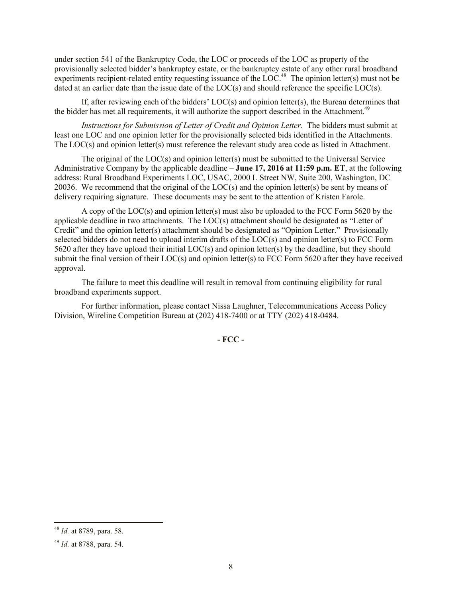under section 541 of the Bankruptcy Code, the LOC or proceeds of the LOC as property of the provisionally selected bidder's bankruptcy estate, or the bankruptcy estate of any other rural broadband experiments recipient-related entity requesting issuance of the  $\text{LOC}.^{48}$  The opinion letter(s) must not be dated at an earlier date than the issue date of the LOC(s) and should reference the specific LOC(s).

If, after reviewing each of the bidders' LOC(s) and opinion letter(s), the Bureau determines that the bidder has met all requirements, it will authorize the support described in the Attachment.<sup>49</sup>

*Instructions for Submission of Letter of Credit and Opinion Letter*. The bidders must submit at least one LOC and one opinion letter for the provisionally selected bids identified in the Attachments. The LOC(s) and opinion letter(s) must reference the relevant study area code as listed in Attachment.

The original of the  $LOC(s)$  and opinion letter(s) must be submitted to the Universal Service Administrative Company by the applicable deadline – **June 17, 2016 at 11:59 p.m. ET**, at the following address: Rural Broadband Experiments LOC, USAC, 2000 L Street NW, Suite 200, Washington, DC 20036. We recommend that the original of the LOC(s) and the opinion letter(s) be sent by means of delivery requiring signature. These documents may be sent to the attention of Kristen Farole.

A copy of the LOC(s) and opinion letter(s) must also be uploaded to the FCC Form 5620 by the applicable deadline in two attachments. The LOC(s) attachment should be designated as "Letter of Credit" and the opinion letter(s) attachment should be designated as "Opinion Letter." Provisionally selected bidders do not need to upload interim drafts of the LOC(s) and opinion letter(s) to FCC Form 5620 after they have upload their initial LOC(s) and opinion letter(s) by the deadline, but they should submit the final version of their LOC(s) and opinion letter(s) to FCC Form 5620 after they have received approval.

The failure to meet this deadline will result in removal from continuing eligibility for rural broadband experiments support.

For further information, please contact Nissa Laughner, Telecommunications Access Policy Division, Wireline Competition Bureau at (202) 418-7400 or at TTY (202) 418-0484.

**- FCC -**

l

<sup>48</sup> *Id.* at 8789, para. 58.

<sup>49</sup> *Id.* at 8788, para. 54.